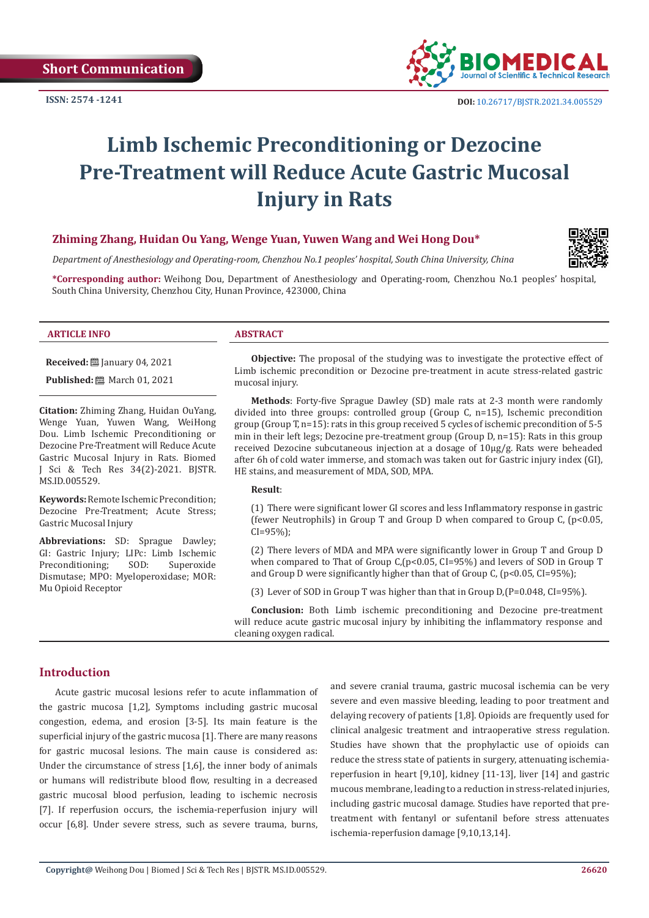**Short Communication**

**ISSN: 2574 -1241**



# **Limb Ischemic Preconditioning or Dezocine Pre-Treatment will Reduce Acute Gastric Mucosal Injury in Rats**

# **Zhiming Zhang, Huidan Ou Yang, Wenge Yuan, Yuwen Wang and Wei Hong Dou\***

*Department of Anesthesiology and Operating-room, Chenzhou No.1 peoples' hospital, South China University, China*

**\*Corresponding author:** Weihong Dou, Department of Anesthesiology and Operating-room, Chenzhou No.1 peoples' hospital, South China University, Chenzhou City, Hunan Province, 423000, China

#### **ARTICLE INFO ABSTRACT**

**Received:** [201] January 04, 2021

**Published:** March 01, 2021

**Citation:** Zhiming Zhang, Huidan OuYang, Wenge Yuan, Yuwen Wang, WeiHong Dou. Limb Ischemic Preconditioning or Dezocine Pre-Treatment will Reduce Acute Gastric Mucosal Injury in Rats. Biomed J Sci & Tech Res 34(2)-2021. BJSTR. MS.ID.005529.

**Keywords:** Remote Ischemic Precondition; Dezocine Pre-Treatment; Acute Stress; Gastric Mucosal Injury

**Abbreviations:** SD: Sprague Dawley; GI: Gastric Injury; LIPc: Limb Ischemic<br>Preconditioning: SOD: Superoxide Preconditioning; Dismutase; MPO: Myeloperoxidase; MOR: Mu Opioid Receptor

**Objective:** The proposal of the studying was to investigate the protective effect of Limb ischemic precondition or Dezocine pre-treatment in acute stress-related gastric mucosal injury.

**Methods**: Forty-five Sprague Dawley (SD) male rats at 2-3 month were randomly divided into three groups: controlled group (Group C, n=15), Ischemic precondition group (Group T, n=15): rats in this group received 5 cycles of ischemic precondition of 5-5 min in their left legs; Dezocine pre-treatment group (Group D, n=15): Rats in this group received Dezocine subcutaneous injection at a dosage of 10µg/g. Rats were beheaded after 6h of cold water immerse, and stomach was taken out for Gastric injury index (GI), HE stains, and measurement of MDA, SOD, MPA.

#### **Result**:

(1) There were significant lower GI scores and less Inflammatory response in gastric (fewer Neutrophils) in Group T and Group D when compared to Group C, (p<0.05, CI=95%);

(2) There levers of MDA and MPA were significantly lower in Group T and Group D when compared to That of Group C,(p<0.05, CI=95%) and levers of SOD in Group T and Group D were significantly higher than that of Group C, (p<0.05, CI=95%);

(3) Lever of SOD in Group T was higher than that in Group  $D_I(P=0.048, CI=95\%)$ .

**Conclusion:** Both Limb ischemic preconditioning and Dezocine pre-treatment will reduce acute gastric mucosal injury by inhibiting the inflammatory response and cleaning oxygen radical.

## **Introduction**

Acute gastric mucosal lesions refer to acute inflammation of the gastric mucosa [1,2], Symptoms including gastric mucosal congestion, edema, and erosion [3-5]. Its main feature is the superficial injury of the gastric mucosa [1]. There are many reasons for gastric mucosal lesions. The main cause is considered as: Under the circumstance of stress [1,6], the inner body of animals or humans will redistribute blood flow, resulting in a decreased gastric mucosal blood perfusion, leading to ischemic necrosis [7]. If reperfusion occurs, the ischemia-reperfusion injury will occur [6,8]. Under severe stress, such as severe trauma, burns,

and severe cranial trauma, gastric mucosal ischemia can be very severe and even massive bleeding, leading to poor treatment and delaying recovery of patients [1,8]. Opioids are frequently used for clinical analgesic treatment and intraoperative stress regulation. Studies have shown that the prophylactic use of opioids can reduce the stress state of patients in surgery, attenuating ischemiareperfusion in heart [9,10], kidney [11-13], liver [14] and gastric mucous membrane, leading to a reduction in stress-related injuries, including gastric mucosal damage. Studies have reported that pretreatment with fentanyl or sufentanil before stress attenuates ischemia-reperfusion damage [9,10,13,14].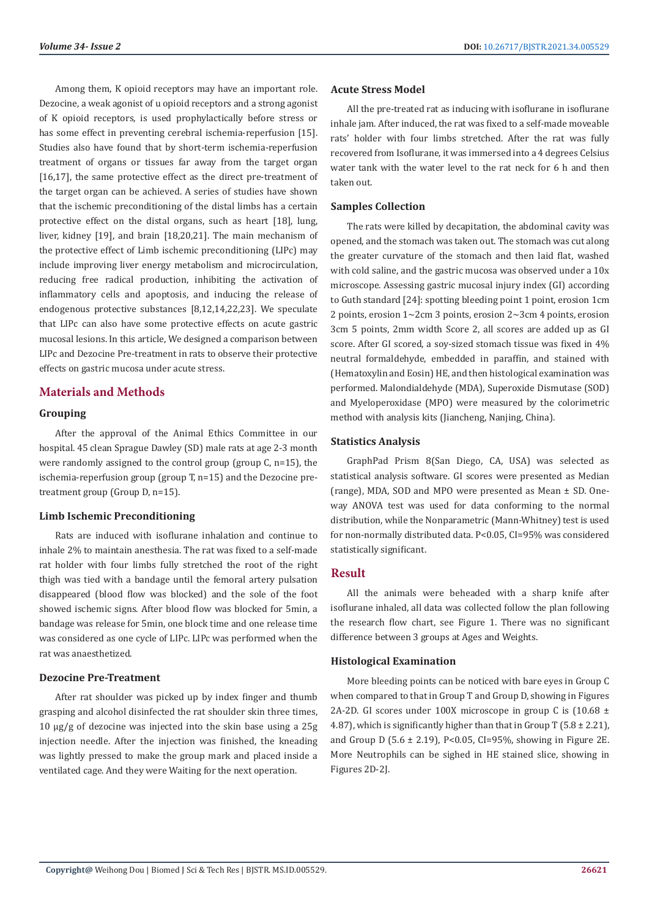Among them, K opioid receptors may have an important role. Dezocine, a weak agonist of u opioid receptors and a strong agonist of K opioid receptors, is used prophylactically before stress or has some effect in preventing cerebral ischemia-reperfusion [15]. Studies also have found that by short-term ischemia-reperfusion treatment of organs or tissues far away from the target organ [16,17], the same protective effect as the direct pre-treatment of the target organ can be achieved. A series of studies have shown that the ischemic preconditioning of the distal limbs has a certain protective effect on the distal organs, such as heart [18], lung, liver, kidney [19], and brain [18,20,21]. The main mechanism of the protective effect of Limb ischemic preconditioning (LIPc) may include improving liver energy metabolism and microcirculation, reducing free radical production, inhibiting the activation of inflammatory cells and apoptosis, and inducing the release of endogenous protective substances [8,12,14,22,23]. We speculate that LIPc can also have some protective effects on acute gastric mucosal lesions. In this article, We designed a comparison between LIPc and Dezocine Pre-treatment in rats to observe their protective effects on gastric mucosa under acute stress.

# **Materials and Methods**

#### **Grouping**

After the approval of the Animal Ethics Committee in our hospital. 45 clean Sprague Dawley (SD) male rats at age 2-3 month were randomly assigned to the control group (group C, n=15), the ischemia-reperfusion group (group T, n=15) and the Dezocine pretreatment group (Group D, n=15).

## **Limb Ischemic Preconditioning**

Rats are induced with isoflurane inhalation and continue to inhale 2% to maintain anesthesia. The rat was fixed to a self-made rat holder with four limbs fully stretched the root of the right thigh was tied with a bandage until the femoral artery pulsation disappeared (blood flow was blocked) and the sole of the foot showed ischemic signs. After blood flow was blocked for 5min, a bandage was release for 5min, one block time and one release time was considered as one cycle of LIPc. LIPc was performed when the rat was anaesthetized.

## **Dezocine Pre-Treatment**

After rat shoulder was picked up by index finger and thumb grasping and alcohol disinfected the rat shoulder skin three times, 10 µg/g of dezocine was injected into the skin base using a 25g injection needle. After the injection was finished, the kneading was lightly pressed to make the group mark and placed inside a ventilated cage. And they were Waiting for the next operation.

#### **Acute Stress Model**

All the pre-treated rat as inducing with isoflurane in isoflurane inhale jam. After induced, the rat was fixed to a self-made moveable rats' holder with four limbs stretched. After the rat was fully recovered from Isoflurane, it was immersed into a 4 degrees Celsius water tank with the water level to the rat neck for 6 h and then taken out.

## **Samples Collection**

The rats were killed by decapitation, the abdominal cavity was opened, and the stomach was taken out. The stomach was cut along the greater curvature of the stomach and then laid flat, washed with cold saline, and the gastric mucosa was observed under a 10x microscope. Assessing gastric mucosal injury index (GI) according to Guth standard [24]: spotting bleeding point 1 point, erosion 1cm 2 points, erosion 1~2cm 3 points, erosion 2~3cm 4 points, erosion 3cm 5 points, 2mm width Score 2, all scores are added up as GI score. After GI scored, a soy-sized stomach tissue was fixed in 4% neutral formaldehyde, embedded in paraffin, and stained with (Hematoxylin and Eosin) HE, and then histological examination was performed. Malondialdehyde (MDA), Superoxide Dismutase (SOD) and Myeloperoxidase (MPO) were measured by the colorimetric method with analysis kits (Jiancheng, Nanjing, China).

## **Statistics Analysis**

GraphPad Prism 8(San Diego, CA, USA) was selected as statistical analysis software. GI scores were presented as Median (range), MDA, SOD and MPO were presented as Mean ± SD. Oneway ANOVA test was used for data conforming to the normal distribution, while the Nonparametric (Mann-Whitney) test is used for non-normally distributed data. P<0.05, CI=95% was considered statistically significant.

# **Result**

All the animals were beheaded with a sharp knife after isoflurane inhaled, all data was collected follow the plan following the research flow chart, see Figure 1. There was no significant difference between 3 groups at Ages and Weights.

# **Histological Examination**

More bleeding points can be noticed with bare eyes in Group C when compared to that in Group T and Group D, showing in Figures 2A-2D. GI scores under 100X microscope in group C is  $(10.68 \pm$ 4.87), which is significantly higher than that in Group T  $(5.8 \pm 2.21)$ , and Group D (5.6  $\pm$  2.19), P<0.05, CI=95%, showing in Figure 2E. More Neutrophils can be sighed in HE stained slice, showing in Figures 2D-2J.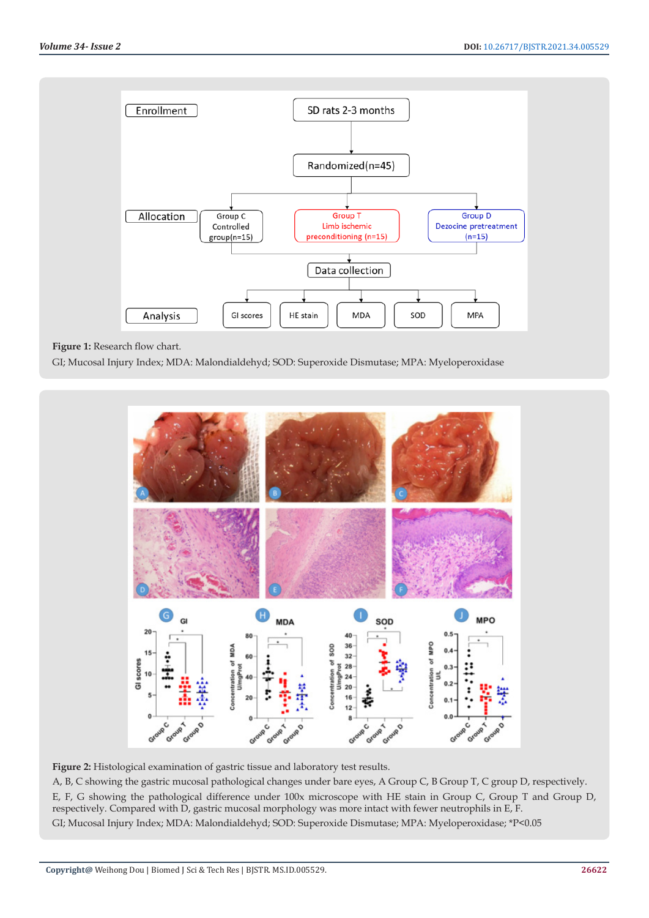

## **Figure 1:** Research flow chart.

GI; Mucosal Injury Index; MDA: Malondialdehyd; SOD: Superoxide Dismutase; MPA: Myeloperoxidase



**Figure 2:** Histological examination of gastric tissue and laboratory test results.

A, B, C showing the gastric mucosal pathological changes under bare eyes, A Group C, B Group T, C group D, respectively. E, F, G showing the pathological difference under 100x microscope with HE stain in Group C, Group T and Group D, respectively. Compared with D, gastric mucosal morphology was more intact with fewer neutrophils in E, F. GI; Mucosal Injury Index; MDA: Malondialdehyd; SOD: Superoxide Dismutase; MPA: Myeloperoxidase; \*P<0.05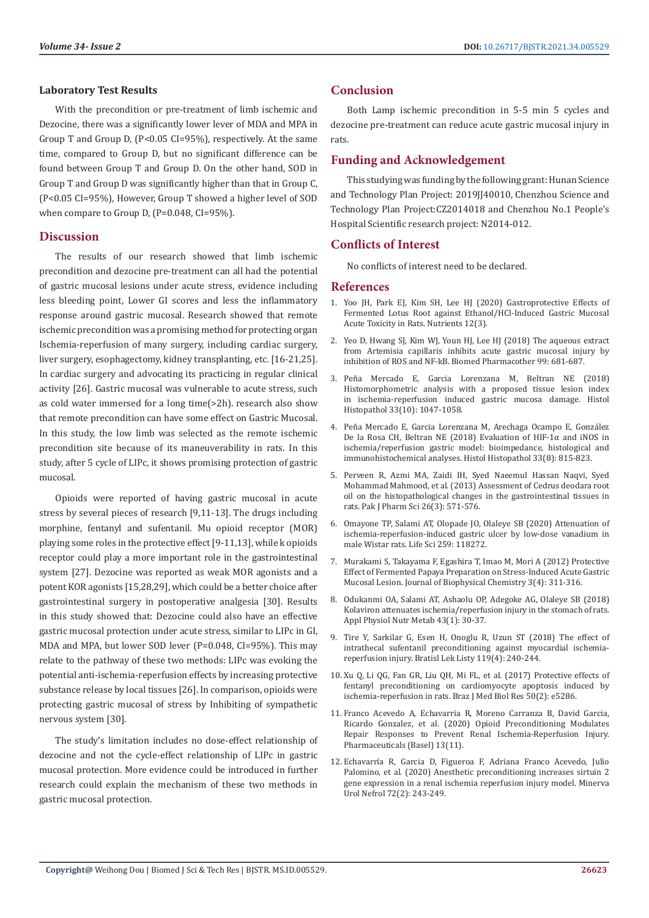#### **Laboratory Test Results**

With the precondition or pre-treatment of limb ischemic and Dezocine, there was a significantly lower lever of MDA and MPA in Group T and Group D, (P<0.05 CI=95%), respectively. At the same time, compared to Group D, but no significant difference can be found between Group T and Group D. On the other hand, SOD in Group T and Group D was significantly higher than that in Group C, (P<0.05 CI=95%), However, Group T showed a higher level of SOD when compare to Group D, (P=0.048, CI=95%).

# **Discussion**

The results of our research showed that limb ischemic precondition and dezocine pre-treatment can all had the potential of gastric mucosal lesions under acute stress, evidence including less bleeding point, Lower GI scores and less the inflammatory response around gastric mucosal. Research showed that remote ischemic precondition was a promising method for protecting organ Ischemia-reperfusion of many surgery, including cardiac surgery, liver surgery, esophagectomy, kidney transplanting, etc. [16-21,25]. In cardiac surgery and advocating its practicing in regular clinical activity [26]. Gastric mucosal was vulnerable to acute stress, such as cold water immersed for a long time(>2h). research also show that remote precondition can have some effect on Gastric Mucosal. In this study, the low limb was selected as the remote ischemic precondition site because of its maneuverability in rats. In this study, after 5 cycle of LIPc, it shows promising protection of gastric mucosal.

Opioids were reported of having gastric mucosal in acute stress by several pieces of research [9,11-13]. The drugs including morphine, fentanyl and sufentanil. Mu opioid receptor (MOR) playing some roles in the protective effect [9-11,13], while k opioids receptor could play a more important role in the gastrointestinal system [27]. Dezocine was reported as weak MOR agonists and a potent KOR agonists [15,28,29], which could be a better choice after gastrointestinal surgery in postoperative analgesia [30]. Results in this study showed that: Dezocine could also have an effective gastric mucosal protection under acute stress, similar to LIPc in GI, MDA and MPA, but lower SOD lever (P=0.048, CI=95%). This may relate to the pathway of these two methods: LIPc was evoking the potential anti-ischemia-reperfusion effects by increasing protective substance release by local tissues [26]. In comparison, opioids were protecting gastric mucosal of stress by Inhibiting of sympathetic nervous system [30].

The study's limitation includes no dose-effect relationship of dezocine and not the cycle-effect relationship of LIPc in gastric mucosal protection. More evidence could be introduced in further research could explain the mechanism of these two methods in gastric mucosal protection.

# **Conclusion**

Both Lamp ischemic precondition in 5-5 min 5 cycles and dezocine pre-treatment can reduce acute gastric mucosal injury in rats.

# **Funding and Acknowledgement**

This studying was funding by the following grant: Hunan Science and Technology Plan Project: 2019JJ40010, Chenzhou Science and Technology Plan Project:CZ2014018 and Chenzhou No.1 People's Hospital Scientific research project: N2014-012.

## **Conflicts of Interest**

No conflicts of interest need to be declared.

#### **References**

- 1. [Yoo JH, Park EJ, Kim SH, Lee HJ \(2020\) Gastroprotective Effects of](https://pubmed.ncbi.nlm.nih.gov/32204312/) [Fermented Lotus Root against Ethanol/HCl-Induced Gastric Mucosal](https://pubmed.ncbi.nlm.nih.gov/32204312/) [Acute Toxicity in Rats. Nutrients 12\(3\).](https://pubmed.ncbi.nlm.nih.gov/32204312/)
- 2. [Yeo D, Hwang SJ, Kim WJ, Youn HJ, Lee HJ \(2018\) The aqueous extract](https://pubmed.ncbi.nlm.nih.gov/29710465/) [from Artemisia capillaris inhibits acute gastric mucosal injury by](https://pubmed.ncbi.nlm.nih.gov/29710465/) [inhibition of ROS and NF-kB. Biomed Pharmacother 99: 681-687.](https://pubmed.ncbi.nlm.nih.gov/29710465/)
- 3. [Peña Mercado E, Garcia Lorenzana M, Beltran NE \(2018\)](https://europepmc.org/article/med/29737512) [Histomorphometric analysis with a proposed tissue lesion index](https://europepmc.org/article/med/29737512) [in ischemia-reperfusion induced gastric mucosa damage. Histol](https://europepmc.org/article/med/29737512) [Histopathol 33\(10\): 1047-1058.](https://europepmc.org/article/med/29737512)
- 4. [Peña Mercado E, Garcia Lorenzana M, Arechaga Ocampo E, González](https://europepmc.org/article/med/29451295) [De la Rosa CH, Beltran NE \(2018\) Evaluation of HIF-1α and iNOS in](https://europepmc.org/article/med/29451295) [ischemia/reperfusion gastric model: bioimpedance, histological and](https://europepmc.org/article/med/29451295) [immunohistochemical analyses. Histol Histopathol 33\(8\): 815-823.](https://europepmc.org/article/med/29451295)
- 5. [Perveen R, Azmi MA, Zaidi IH, Syed Naeemul Hassan Naqvi, Syed](https://pubmed.ncbi.nlm.nih.gov/23625432/) [Mohammad Mahmood, et al. \(2013\) Assessment of Cedrus deodara root](https://pubmed.ncbi.nlm.nih.gov/23625432/) [oil on the histopathological changes in the gastrointestinal tissues in](https://pubmed.ncbi.nlm.nih.gov/23625432/) [rats. Pak J Pharm Sci 26\(3\): 571-576.](https://pubmed.ncbi.nlm.nih.gov/23625432/)
- 6. [Omayone TP, Salami AT, Olopade JO, Olaleye SB \(2020\) Attenuation of](https://europepmc.org/article/med/32800836) [ischemia-reperfusion-induced gastric ulcer by low-dose vanadium in](https://europepmc.org/article/med/32800836) [male Wistar rats. Life Sci 259: 118272.](https://europepmc.org/article/med/32800836)
- 7. [Murakami S, Takayama F, Egashira T, Imao M, Mori A \(2012\) Protective](https://www.researchgate.net/publication/276490491_Protective_effect_of_fermented_papaya_preparation_on_stress-induced_acute_gastric_mucosal_lesion) [Effect of Fermented Papaya Preparation on Stress-Induced Acute Gastric](https://www.researchgate.net/publication/276490491_Protective_effect_of_fermented_papaya_preparation_on_stress-induced_acute_gastric_mucosal_lesion) [Mucosal Lesion. Journal of Biophysical Chemistry 3\(4\): 311-316.](https://www.researchgate.net/publication/276490491_Protective_effect_of_fermented_papaya_preparation_on_stress-induced_acute_gastric_mucosal_lesion)
- 8. [Odukanmi OA, Salami AT, Ashaolu OP, Adegoke AG, Olaleye SB \(2018\)](https://pubmed.ncbi.nlm.nih.gov/28841395/) [Kolaviron attenuates ischemia/reperfusion injury in the stomach of rats.](https://pubmed.ncbi.nlm.nih.gov/28841395/) [Appl Physiol Nutr Metab 43\(1\): 30-37.](https://pubmed.ncbi.nlm.nih.gov/28841395/)
- 9. [Tire Y, Sarkilar G, Esen H, Onoglu R, Uzun ST \(2018\) The effect of](https://europepmc.org/article/med/29663822) [intrathecal sufentanil preconditioning against myocardial ischemia](https://europepmc.org/article/med/29663822)[reperfusion injury. Bratisl Lek Listy 119\(4\): 240-244.](https://europepmc.org/article/med/29663822)
- 10. [Xu Q, Li QG, Fan GR, Liu QH, Mi FL, et al. \(2017\) Protective effects of](https://www.ncbi.nlm.nih.gov/pmc/articles/PMC5343559/) [fentanyl preconditioning on cardiomyocyte apoptosis induced by](https://www.ncbi.nlm.nih.gov/pmc/articles/PMC5343559/) [ischemia-reperfusion in rats. Braz J Med Biol Res 50\(2\): e5286.](https://www.ncbi.nlm.nih.gov/pmc/articles/PMC5343559/)
- 11. [Franco Acevedo A, Echavarria R, Moreno Carranza B, David Garcia,](https://www.ncbi.nlm.nih.gov/pmc/articles/PMC7696679/) [Ricardo Gonzalez, et al. \(2020\) Opioid Preconditioning Modulates](https://www.ncbi.nlm.nih.gov/pmc/articles/PMC7696679/) [Repair Responses to Prevent Renal Ischemia-Reperfusion Injury.](https://www.ncbi.nlm.nih.gov/pmc/articles/PMC7696679/) [Pharmaceuticals \(Basel\) 13\(11\).](https://www.ncbi.nlm.nih.gov/pmc/articles/PMC7696679/)
- 12. [Echavarría R, Garcia D, Figueroa F, Adriana Franco Acevedo, Julio](https://pubmed.ncbi.nlm.nih.gov/31726818/) [Palomino, et al. \(2020\) Anesthetic preconditioning increases sirtuin 2](https://pubmed.ncbi.nlm.nih.gov/31726818/) [gene expression in a renal ischemia reperfusion injury model. Minerva](https://pubmed.ncbi.nlm.nih.gov/31726818/) [Urol Nefrol 72\(2\): 243-249.](https://pubmed.ncbi.nlm.nih.gov/31726818/)